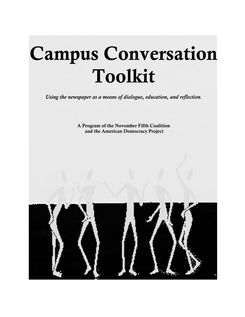# Campus Conversation Toolkit

*Using the newspaper as a means of dialogue, education, and reflection.*

A Program of the November Fifth Coalition and the American Democracy Project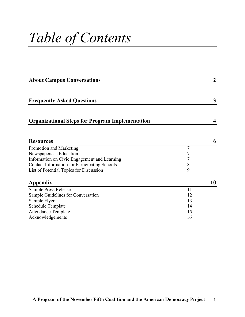## *Table of Contents*

| <b>About Campus Conversations</b>                      |                |                         |  |  |
|--------------------------------------------------------|----------------|-------------------------|--|--|
| <b>Frequently Asked Questions</b>                      |                | 3                       |  |  |
| <b>Organizational Steps for Program Implementation</b> |                | $\overline{\mathbf{4}}$ |  |  |
| <b>Resources</b>                                       |                | 6                       |  |  |
| Promotion and Marketing                                | $\overline{7}$ |                         |  |  |
| Newspapers as Education                                |                |                         |  |  |
| Information on Civic Engagement and Learning           | 7              |                         |  |  |
| <b>Contact Information for Participating Schools</b>   | 8              |                         |  |  |
| List of Potential Topics for Discussion                | 9              |                         |  |  |
| Appendix                                               |                | 10                      |  |  |
| Sample Press Release                                   | 11             |                         |  |  |
| Sample Guidelines for Conversation                     | 12             |                         |  |  |
| Sample Flyer                                           | 13             |                         |  |  |
| Schedule Template                                      | 14             |                         |  |  |
| <b>Attendance Template</b>                             | 15             |                         |  |  |
| Acknowledgements                                       | 16             |                         |  |  |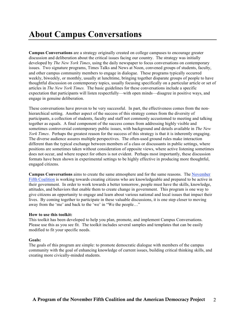**Campus Conversations** are a strategy originally created on college campuses to encourage greater discussion and deliberation about the critical issues facing our country. The strategy was initially developed by *The New York Times*, using the daily newspaper to focus conversations on contemporary issues. Two signature programs, Times Talks and News at Noon, convened groups of students, faculty, and other campus community members to engage in dialogue. These programs typically occurred weekly, biweekly, or monthly, usually at lunchtime, bringing together disparate groups of people to have thoughtful discussion on contemporary topics, usually focusing specifically on a particular article or set of articles in *The New York Times.* The basic guidelines for these conversations include a specific expectation that participants will listen respectfully—with open minds—disagree in positive ways, and engage in genuine deliberation.

These conversations have proven to be very successful. In part, the effectiveness comes from the nonhierarchical setting. Another aspect of the success of this strategy comes from the diversity of participants, a collection of students, faculty and staff not commonly accustomed to meeting and talking together as equals. A final component of the success comes from addressing highly visible and sometimes controversial contemporary public issues, with background and details available in *The New York Times*. Perhaps the greatest reason for the success of this strategy is that it is inherently engaging. The diverse audience assures multiple perspectives. The often-used ground rules make interaction different than the typical exchange between members of a class or discussants in public settings, where positions are sometimes taken without consideration of opposite views, where active listening sometimes does not occur, and where respect for others is not evident. Perhaps most importantly, these discussion formats have been shown in experimental settings to be highly effective in producing more thoughtful, engaged citizens.

**Campus Conversations** aims to create the same atmosphere and for the same reasons. The November Fifth Coalition is working towards creating citizens who are knowledgeable and prepared to be active in their government. In order to work towards a better tomorrow, people must have the skills, knowledge, attitudes, and behaviors that enable them to create change in government. This program is one way to give citizens an opportunity to engage and learn about various national and local issues that impact their lives. By coming together to participate in these valuable discussions, it is one step closer to moving away from the 'me' and back to the 'we' in "We the people…"

#### **How to use this toolkit:**

This toolkit has been developed to help you plan, promote, and implement Campus Conversations. Please use this as you see fit. The toolkit includes several samples and templates that can be easily modified to fit your specific needs.

#### **Goals:**

The goals of this program are simple: to promote democratic dialogue with members of the campus community with the goal of enhancing knowledge of current issues, building critical thinking skills, and creating more civically-minded students.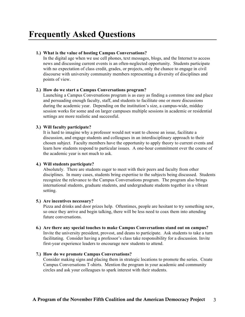#### **1.) What is the value of hosting Campus Conversations?**

In the digital age when we use cell phones, text messages, blogs, and the Internet to access news and discussing current events is an often-neglected opportunity. Students participate with no expectation of class credit, grades, or projects, only the chance to engage in civil discourse with university community members representing a diversity of disciplines and points of view.

#### **2.) How do we start a Campus Conversations program?**

Launching a Campus Conversations program is as easy as finding a common time and place and persuading enough faculty, staff, and students to facilitate one or more discussions during the academic year. Depending on the institution's size, a campus-wide, midday session works for some and on larger campuses multiple sessions in academic or residential settings are more realistic and successful.

#### **3.) Will faculty participate?**

It is hard to imagine why a professor would not want to choose an issue, facilitate a discussion, and engage students and colleagues in an interdisciplinary approach to their chosen subject. Faculty members have the opportunity to apply theory to current events and learn how students respond to particular issues. A one-hour commitment over the course of the academic year is not much to ask.

#### **4.) Will students participate?**

Absolutely. There are students eager to meet with their peers and faculty from other disciplines. In many cases, students bring expertise to the subjects being discussed. Students recognize the relevance to the Campus Conversations program. The program also brings international students, graduate students, and undergraduate students together in a vibrant setting.

#### **5.) Are incentives necessary?**

Pizza and drinks and door prizes help. Oftentimes, people are hesitant to try something new, so once they arrive and begin talking, there will be less need to coax them into attending future conversations.

#### **6.) Are there any special touches to make Campus Conversations stand out on campus?**

Invite the university president, provost, and deans to participate. Ask students to take a turn facilitating. Consider having a professor's class take responsibility for a discussion. Invite first-year experience leaders to encourage new students to attend.

#### **7.) How do we promote Campus Conversations?**

Consider making signs and placing them in strategic locations to promote the series. Create Campus Conversations T-shirts. Mention the program in your academic and community circles and ask your colleagues to spark interest with their students.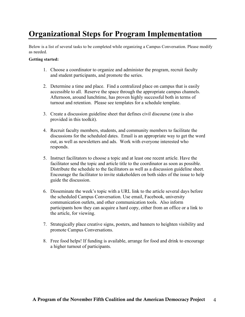## **Organizational Steps for Program Implementation**

Below is a list of several tasks to be completed while organizing a Campus Conversation. Please modify as needed.

#### **Getting started:**

- 1. Choose a coordinator to organize and administer the program, recruit faculty and student participants, and promote the series.
- 2. Determine a time and place. Find a centralized place on campus that is easily accessible to all. Reserve the space through the appropriate campus channels. Afternoon, around lunchtime, has proven highly successful both in terms of turnout and retention. Please see templates for a schedule template.
- 3. Create a discussion guideline sheet that defines civil discourse (one is also provided in this toolkit).
- 4. Recruit faculty members, students, and community members to facilitate the discussions for the scheduled dates. Email is an appropriate way to get the word out, as well as newsletters and ads. Work with everyone interested who responds.
- 5. Instruct facilitators to choose a topic and at least one recent article. Have the facilitator send the topic and article title to the coordinator as soon as possible. Distribute the schedule to the facilitators as well as a discussion guideline sheet. Encourage the facilitator to invite stakeholders on both sides of the issue to help guide the discussion.
- 6. Disseminate the week's topic with a URL link to the article several days before the scheduled Campus Conversation. Use email, Facebook, university communication outlets, and other communication tools. Also inform participants how they can acquire a hard copy, either from an office or a link to the article, for viewing.
- 7. Strategically place creative signs, posters, and banners to heighten visibility and promote Campus Conversations.
- 8. Free food helps! If funding is available, arrange for food and drink to encourage a higher turnout of participants.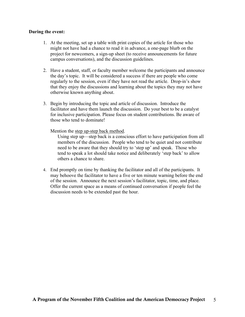#### **During the event:**

- 1. At the meeting, set up a table with print copies of the article for those who might not have had a chance to read it in advance, a one-page blurb on the project for newcomers, a sign-up sheet (to receive announcements for future campus conversations), and the discussion guidelines.
- 2. Have a student, staff, or faculty member welcome the participants and announce the day's topic. It will be considered a success if there are people who come regularly to the session, even if they have not read the article. Drop-in's show that they enjoy the discussions and learning about the topics they may not have otherwise known anything about.
- 3. Begin by introducing the topic and article of discussion. Introduce the facilitator and have them launch the discussion. Do your best to be a catalyst for inclusive participation. Please focus on student contributions. Be aware of those who tend to dominate!

Mention the step up-step back method.

Using step up—step back is a conscious effort to have participation from all members of the discussion. People who tend to be quiet and not contribute need to be aware that they should try to 'step up' and speak. Those who tend to speak a lot should take notice and deliberately 'step back' to allow others a chance to share.

4. End promptly on time by thanking the facilitator and all of the participants. It may behoove the facilitator to have a five or ten minute warning before the end of the session. Announce the next session's facilitator, topic, time, and place. Offer the current space as a means of continued conversation if people feel the discussion needs to be extended past the hour.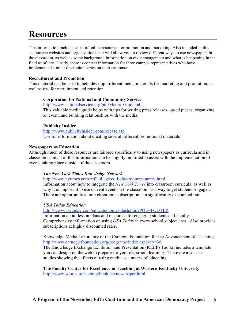## **Resources**

This information includes a list of online resources for promotion and marketing. Also included in this section are websites and organizations that will allow you to review different ways to use newspapers in the classroom, as well as some background information on civic engagement and what is happening in the field as of late. Lastly, there is contact information for three campus representatives who have implemented similar discussion series on their campuses.

#### **Recruitment and Promotion**

This material can be used to help develop different media materials for marketing and promotion, as well as tips for recruitment and retention.

#### **Corporation for National and Community Service**

http://www.nationalservice.org/pdf/Media\_Guide.pdf

This valuable media guide helps with tips for writing press releases, op-ed pieces, organizing an event, and building relationships with the media.

#### **Publicity Insider**

http://www.publicityinsider.com/release.asp Use for information about creating several different promotional materials

#### **Newspapers as Education**

Although much of these resources are tailored specifically to using newspapers as curricula and in classrooms, much of this information can be slightly modified to assist with the implementation of events taking place outside of the classroom.

#### *The New York Times Knowledge Network*

http://www.nytimes.com/ref/college/coll-classroomresources.html

Information about how to integrate the *New York Times* into classroom curricula, as well as why it is important to use current events in the classroom as a way to get students engaged. There are opportunities for a classroom subscription at a significantly discounted rate.

#### *USA Today Education*

http://www.usatoday.com/educate/homesplash.htm?POE=FOOTER

Information about lesson plans and resources for engaging students and faculty. Comprehensive information on using *USA Today* in every school subject area. Also provides subscriptions at highly discounted rates.

Knowledge Media Laboratory of the Carnegie Foundation for the Advancement of Teaching http://www.carnegiefoundation.org/programs/index.asp?key=38

The Knowledge Exchange Exhibition and Presentation (KEEP) Toolkit includes a template you can design on the web to prepare for your classroom learning. There are also case studies showing the effects of using media as a means of educating.

**The Faculty Center for Excellence in Teaching at Western Kentucky University** http://www.wku.edu/teaching/booklets/newspaper.html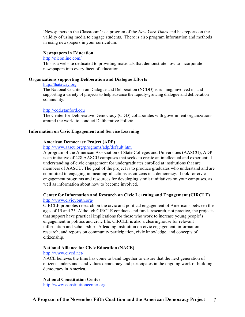'Newspapers in the Classroom' is a program of the *New York Times* and has reports on the validity of using media to engage students. There is also program information and methods in using newspapers in your curriculum.

#### **Newspapers in Education**

#### http://nieonline.com/

This is a website dedicated to providing materials that demonstrate how to incorporate newspapers into every facet of education.

#### **Organizations supporting Deliberation and Dialogue Efforts**

#### http://thataway.org

The National Coalition on Dialogue and Deliberation (NCDD) is running, involved in, and supporting a variety of projects to help advance the rapidly-growing dialogue and deliberation community.

#### http://cdd.stanford.edu

The Center for Deliberative Democracy (CDD) collaborates with government organizations around the world to conduct Deliberative Polls®.

#### **Information on Civic Engagement and Service Learning**

#### **American Democracy Project (ADP)**

#### http://www.aascu.org/programs/adp/default.htm

A program of the American Association of State Colleges and Universities (AASCU), ADP is an initiative of 228 AASCU campuses that seeks to create an intellectual and experiential understanding of civic engagement for undergraduates enrolled at institutions that are members of AASCU. The goal of the project is to produce graduates who understand and are committed to engaging in meaningful actions as citizens in a democracy. Look for civic engagement programs and resources for developing similar initiatives on your campuses, as well as information about how to become involved.

#### **Center for Information and Research on Civic Learning and Engagement (CIRCLE)** http://www.civicyouth.org/

CIRCLE promotes research on the civic and political engagement of Americans between the ages of 15 and 25. Although CIRCLE conducts and funds research, not practice, the projects that support have practical implications for those who work to increase young people's engagement in politics and civic life. CIRCLE is also a clearinghouse for relevant information and scholarship. A leading institution on civic engagement, information, research, and reports on community participation, civic knowledge, and concepts of citizenship.

#### **National Alliance for Civic Education (NACE)**

#### http://www.cived.net/

NACE believes the time has come to band together to ensure that the next generation of citizens understands and values democracy and participates in the ongoing work of building democracy in America.

#### **National Constitution Center**

http://www.constitutioncenter.org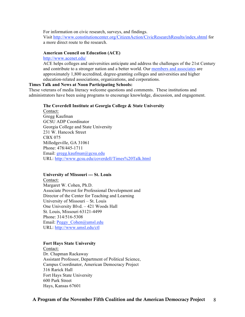For information on civic research, surveys, and findings.

Visit http://www.constitutioncenter.org/CitizenAction/CivicResearchResults/index.shtml for a more direct route to the research.

#### **American Council on Education (ACE)**

#### http://www.acenet.edu/

ACE helps colleges and universities anticipate and address the challenges of the 21st Century and contribute to a stronger nation and a better world. Our members and associates are approximately 1,800 accredited, degree-granting colleges and universities and higher education-related associations, organizations, and corporations.

#### **Times Talk and News at Noon Participating Schools:**

These veterans of media literacy welcome questions and comments. These institutions and administrators have been using programs to encourage knowledge, discussion, and engagement.

#### **The Coverdell Institute at Georgia College & State University**

Contact: Gregg Kaufman GCSU ADP Coordinator Georgia College and State University 231 W. Hancock Street CBX 075 Milledgeville, GA 31061 Phone: 478/445-1711 Email: gregg.kaufman@gcsu.edu URL: http://www.gcsu.edu/coverdell/Times%20Talk.html

#### **University of Missouri --- St. Louis**

Contact: Margaret W. Cohen, Ph.D. Associate Provost for Professional Development and Director of the Center for Teaching and Learning University of Missouri – St. Louis One University Blvd. – 421 Woods Hall St. Louis, Missouri 63121-4499 Phone: 314/516-5308 Email: Peggy\_Cohen@umsl.edu URL: http://www.umsl.edu/ctl

#### **Fort Hays State University**

Contact: Dr. Chapman Rackaway Assistant Professor, Department of Political Science, Campus Coordinator, American Democracy Project 316 Rarick Hall Fort Hays State University 600 Park Street Hays, Kansas 67601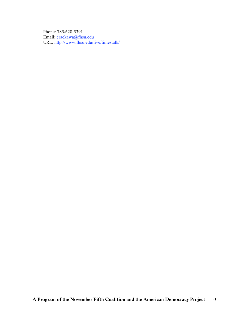Phone: 785/628-5391 Email: crackawa@fhsu.edu URL: http://www.fhsu.edu/live/timestalk/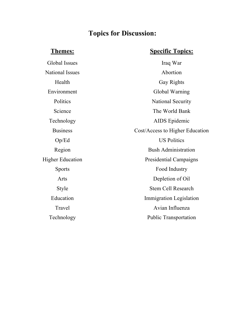#### **Topics for Discussion:**

#### **Themes:**

#### **Specific Topics:**

Global Issues National Issues Health Environment **Politics** Science Technology **Business** Op/Ed Region Higher Education Sports Arts Style Education Travel Technology Iraq War Abortion Gay Rights Global Warning National Security The World Bank AIDS Epidemic Cost/Access to Higher Education US Politics Bush Administration Presidential Campaigns Food Industry Depletion of Oil Stem Cell Research Immigration Legislation Avian Influenza Public Transportation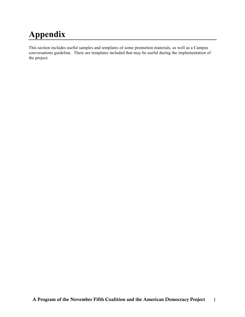## **Appendix**

This section includes useful samples and templates of some promotion materials, as well as a Campus conversations guideline. There are templates included that may be useful during the implementation of the project.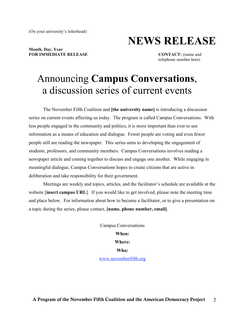(On your university's letterhead)

## **NEWS RELEASE**

**Month, Day, Year FOR IMMEDIATE RELEASE CONTACT:** (name and

telephone number here)

## Announcing **Campus Conversations**, a discussion series of current events

The November Fifth Coalition and **[the university name]** is introducing a discussion series on current events affecting us today. The program is called Campus Conversations. With less people engaged in the community and politics, it is more important than ever to use information as a means of education and dialogue. Fewer people are voting and even fewer people still are reading the newspaper. This series aims to developing the engagement of students, professors, and community members. Campus Conversations involves reading a newspaper article and coming together to discuss and engage one another. While engaging in meaningful dialogue, Campus Conversations hopes to create citizens that are active in deliberation and take responsibility for their government.

Meetings are weekly and topics, articles, and the facilitator's schedule are available at the website [**insert campus URL**]. If you would like to get involved, please note the meeting time and place below. For information about how to become a facilitator, or to give a presentation on a topic during the series, please contact, **[name, phone number, email]**.

> Campus Conversations **When: Where: Who:** www.novemberfifth.org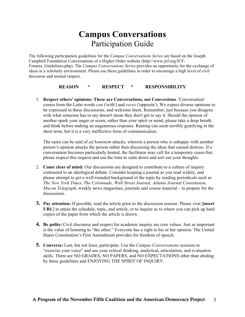## **Campus Conversations** Participation Guide

The following participation guidelines for the *Campus Conversations Series* are based on the Joseph Campbell Foundation Conversations of a Higher Order website (http://www.jcf.org/JCF-Forums\_Guidelines.php). The *Campus Conversations Series* provides an opportunity for the exchange of ideas in a scholarly environment. Please use these guidelines in order to encourage a high level of civil discourse and mutual respect.

#### **REASON \* RESPECT \* RESPONSIBILITY**

1. **Respect others' opinions: These are Conversations, not Conversions**. 'Conversation' comes from the Latin words *con* ('with') and *verso* ('opposite'). We expect diverse opinions to be expressed in these discussions, and welcome them. Remember, just because you disagree with what someone has to say doesn't mean they don't get to say it. Should the opinion of another spark your anger or scorn, rather than your spirit or mind, please take a deep breath and think before making an ungenerous response. Ranting can seem terribly gratifying in the short term, but it is a very ineffective form of communication.

The same can be said of *ad hominem* attacks, wherein a person who is unhappy with another person's opinion attacks the person rather than discussing the ideas that caused distress. If a conversation becomes particularly heated, the facilitator may call for a temporary cease-fire; please respect this request and use the time to calm down and sort out your thoughts.

- 2. **Come clear of mind:** Our discussions are designed to contribute to a culture of inquiry contrasted to an ideological debate. Consider keeping a journal as you read widely, and please attempt to get a well-rounded background of the topic by reading periodicals such as *The New York Times, The Colonnade, Wall Street Journal, Atlanta Journal Constitution, Macon Telegraph*, weekly news magazines, journals and course material – to prepare for the discussions.
- **3. Pay attention:** If possible, read the article prior to the discussion session. Please visit [**insert URL**] to attain the schedule, topic, and article, or to inquire as to where you can pick up hard copies of the paper from which the article is drawn.
- **4. Be polite:** Civil discourse and respect for academic inquiry are core values. Just as important is the value of listening to "the other." Everyone has a right to his or her opinion. The United States Constitution's First Amendment provides for freedom of speech.
- **5. Converse:** Last, but not least, participate. Use the *Campus Conversations* sessions to "exercise your voice" and use your critical thinking, analytical, articulation, and evaluation skills. There are NO GRADES, NO PAPERS, and NO EXPECTATIONS other than abiding by these guidelines and ENJOYING THE SPIRIT OF INQUIRY.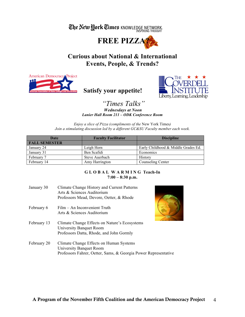### The New Hork Times KNOWLEDGE NETWORK.



#### **Curious about National & International Events, People, & Trends?**





#### *"Times Talks"*

 **Satisfy your appetite!** 

*Wednesdays at Noon Lanier Hall Room 211 – ODK Conference Room*

*Enjoy a slice of Pizza (compliments of the* New York Times*) Join a stimulating discussion led by a different GC&SU Faculty member each week.*

| Date                 | <b>Faculty Facilitator</b> | <b>Discipline</b>                   |  |
|----------------------|----------------------------|-------------------------------------|--|
| <b>FALL SEMESTER</b> |                            |                                     |  |
| January 24           | Leigh Hern                 | Early Childhood & Middle Grades Ed. |  |
| January 31           | Ben Scafidi                | Economics                           |  |
| February 7           | Steve Auerbach             | History                             |  |
| February 14          | Amy Harrington             | Counseling Center                   |  |

#### **G L O B A L W A R M I N G Teach-In 7:00 – 8:30 p.m.**

- January 30 Climate Change History and Current Patterns Arts & Sciences Auditorium Professors Mead, Devore, Oetter, & Rhode
- February 6 Film An Inconvenient Truth Arts & Sciences Auditorium
- February 13 Climate Change Effects on Nature's Ecosystems University Banquet Room Professors Datta, Rhode, and John Gormly



February 20 Climate Change Effects on Human Systems University Banquet Room Professors Fahrer, Oetter, Sams, & Georgia Power Representative